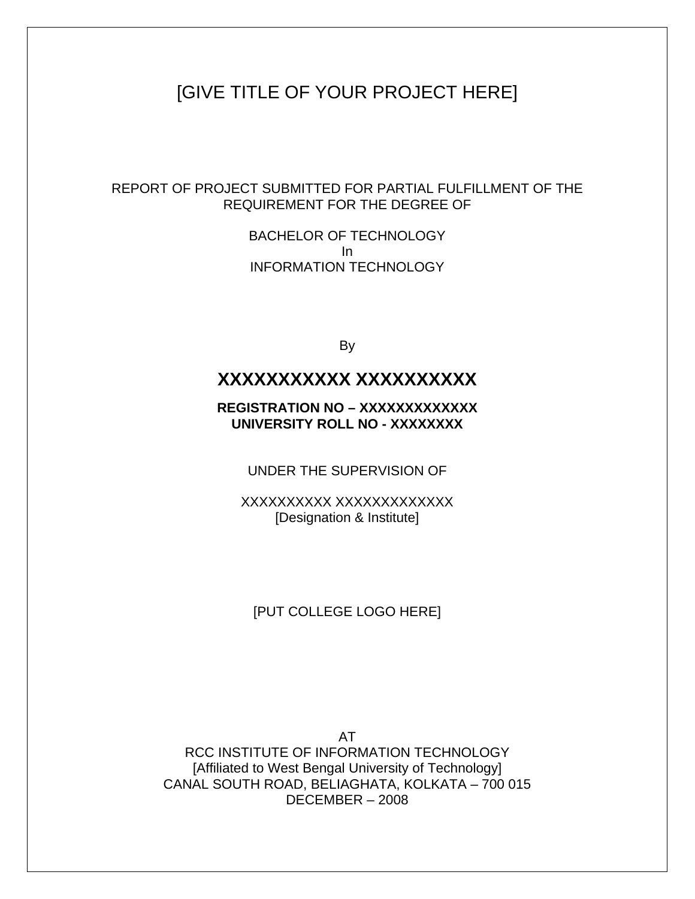## [GIVE TITLE OF YOUR PROJECT HERE]

REPORT OF PROJECT SUBMITTED FOR PARTIAL FULFILLMENT OF THE REQUIREMENT FOR THE DEGREE OF

> BACHELOR OF TECHNOLOGY In INFORMATION TECHNOLOGY

> > By

### **XXXXXXXXXXX XXXXXXXXXX**

**REGISTRATION NO – XXXXXXXXXXXXX UNIVERSITY ROLL NO - XXXXXXXX** 

UNDER THE SUPERVISION OF

XXXXXXXXXX XXXXXXXXXXXXX [Designation & Institute]

#### [PUT COLLEGE LOGO HERE]

AT RCC INSTITUTE OF INFORMATION TECHNOLOGY [Affiliated to West Bengal University of Technology] CANAL SOUTH ROAD, BELIAGHATA, KOLKATA – 700 015 DECEMBER – 2008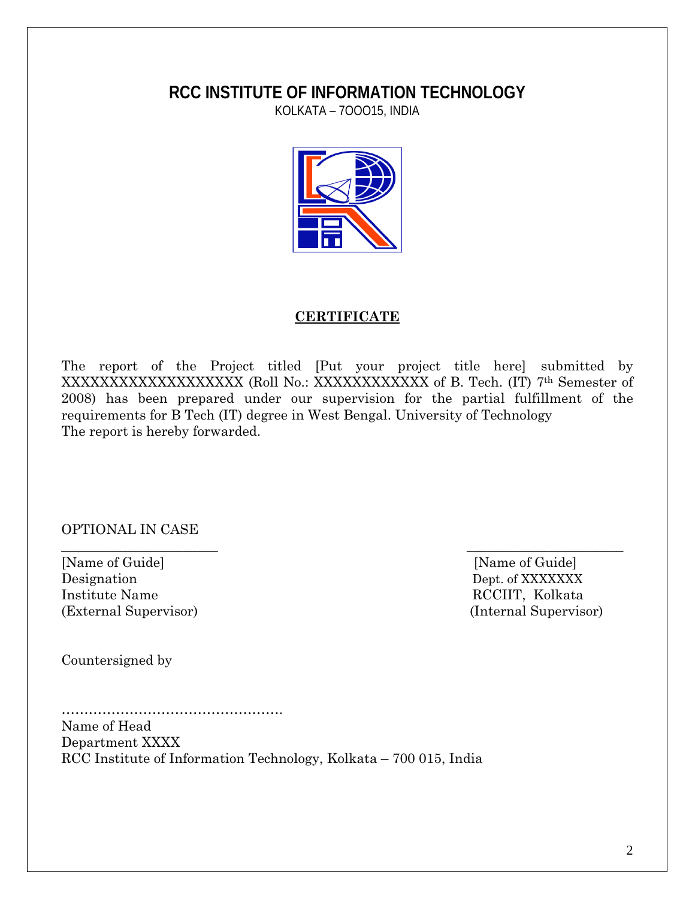## **RCC INSTITUTE OF INFORMATION TECHNOLOGY**

KOLKATA – 7OOO15, INDIA



#### **CERTIFICATE**

The report of the Project titled [Put your project title here] submitted by XXXXXXXXXXXXXXXXXXXXXXXX (Roll No.: XXXXXXXXXXXXXX of B. Tech. (IT) 7<sup>th</sup> Semester of 2008) has been prepared under our supervision for the partial fulfillment of the requirements for B Tech (IT) degree in West Bengal. University of Technology The report is hereby forwarded.

 $\overline{\phantom{a}}$  , and the contract of the contract of the contract of the contract of the contract of the contract of the contract of the contract of the contract of the contract of the contract of the contract of the contrac

OPTIONAL IN CASE

[Name of Guide] [Name of Guide] Designation Dept. of XXXXXXXX Institute Name RCCIIT, Kolkata (External Supervisor) (Internal Supervisor)

Countersigned by

…………………………………………. Name of Head Department XXXX RCC Institute of Information Technology, Kolkata – 700 015, India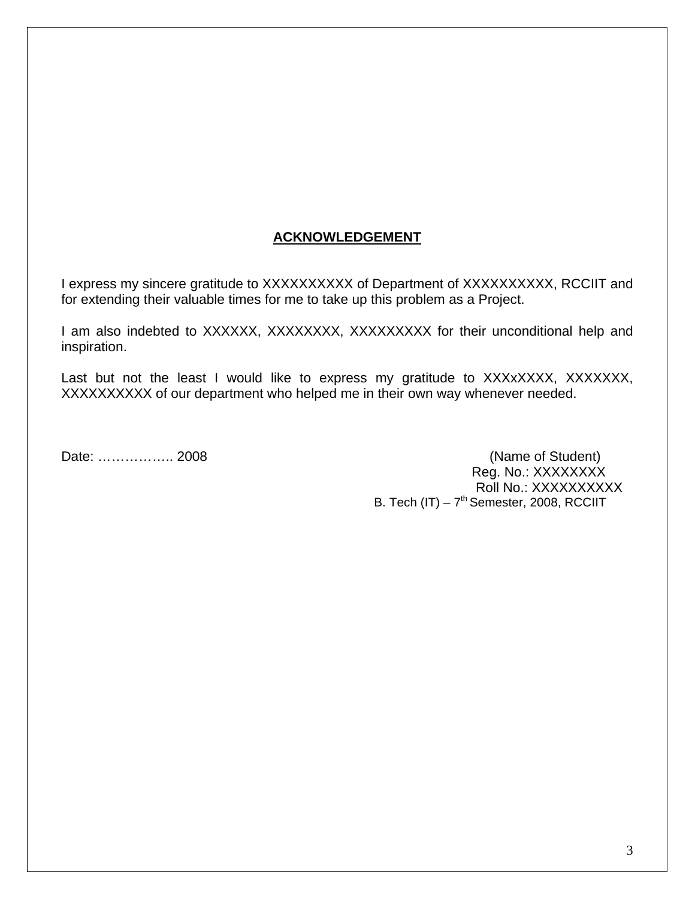#### **ACKNOWLEDGEMENT**

I express my sincere gratitude to XXXXXXXXXX of Department of XXXXXXXXXX, RCCIIT and for extending their valuable times for me to take up this problem as a Project.

I am also indebted to XXXXXX, XXXXXXXX, XXXXXXXXX for their unconditional help and inspiration.

Last but not the least I would like to express my gratitude to XXXxXXXX, XXXXXXX, XXXXXXXXXX of our department who helped me in their own way whenever needed.

Date: ………………… 2008 Reg. No.: XXXXXXXX Roll No.: XXXXXXXXX B. Tech  $(IT) - 7<sup>th</sup>$  Semester, 2008, RCCIIT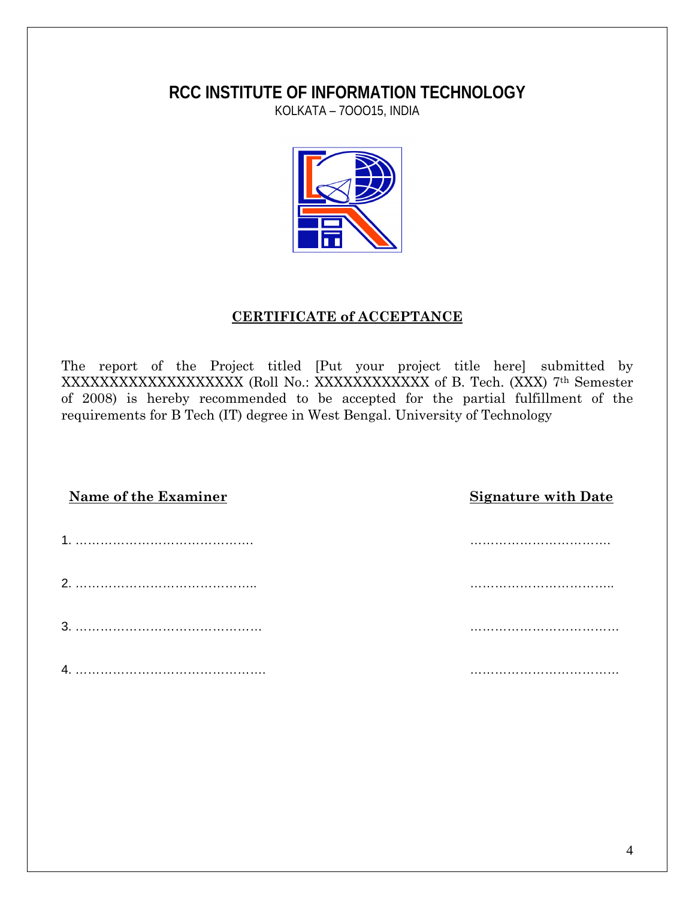## **RCC INSTITUTE OF INFORMATION TECHNOLOGY**

KOLKATA – 7OOO15, INDIA



#### **CERTIFICATE of ACCEPTANCE**

The report of the Project titled [Put your project title here] submitted by XXXXXXXXXXXXXXXXXXX (Roll No.: XXXXXXXXXXXX of B. Tech. (XXX) 7th Semester of 2008) is hereby recommended to be accepted for the partial fulfillment of the requirements for B Tech (IT) degree in West Bengal. University of Technology

| Name of the Examiner | <b>Signature with Date</b> |
|----------------------|----------------------------|
|                      |                            |
|                      |                            |
|                      |                            |
|                      |                            |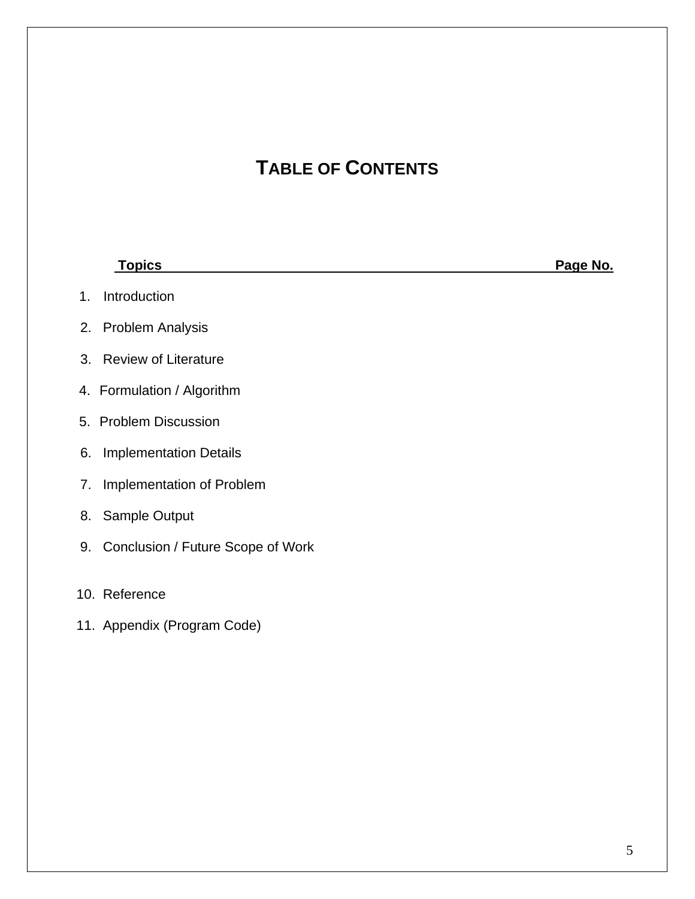# **TABLE OF CONTENTS**

| <b>Topics</b>                           | Page No. |
|-----------------------------------------|----------|
| Introduction<br>1 <sub>1</sub>          |          |
| <b>Problem Analysis</b><br>2.           |          |
| <b>Review of Literature</b><br>3.       |          |
| 4. Formulation / Algorithm              |          |
| 5. Problem Discussion                   |          |
| <b>Implementation Details</b><br>6.     |          |
| Implementation of Problem<br>7.         |          |
| Sample Output<br>8.                     |          |
| Conclusion / Future Scope of Work<br>9. |          |
|                                         |          |
| 10. Reference                           |          |
| 11. Appendix (Program Code)             |          |
|                                         |          |